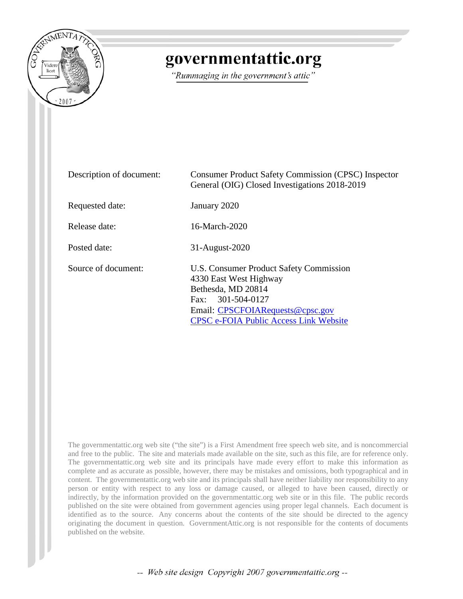

# governmentattic.org

"Rummaging in the government's attic"

| Description of document: | <b>Consumer Product Safety Commission (CPSC) Inspector</b><br>General (OIG) Closed Investigations 2018-2019                                                                                       |
|--------------------------|---------------------------------------------------------------------------------------------------------------------------------------------------------------------------------------------------|
| Requested date:          | January 2020                                                                                                                                                                                      |
| Release date:            | 16-March-2020                                                                                                                                                                                     |
| Posted date:             | 31-August-2020                                                                                                                                                                                    |
| Source of document:      | U.S. Consumer Product Safety Commission<br>4330 East West Highway<br>Bethesda, MD 20814<br>Fax: 301-504-0127<br>Email: CPSCFOIARequests@cpsc.gov<br><b>CPSC e-FOIA Public Access Link Website</b> |

The governmentattic.org web site ("the site") is a First Amendment free speech web site, and is noncommercial and free to the public. The site and materials made available on the site, such as this file, are for reference only. The governmentattic.org web site and its principals have made every effort to make this information as complete and as accurate as possible, however, there may be mistakes and omissions, both typographical and in content. The governmentattic.org web site and its principals shall have neither liability nor responsibility to any person or entity with respect to any loss or damage caused, or alleged to have been caused, directly or indirectly, by the information provided on the governmentattic.org web site or in this file. The public records published on the site were obtained from government agencies using proper legal channels. Each document is identified as to the source. Any concerns about the contents of the site should be directed to the agency originating the document in question. GovernmentAttic.org is not responsible for the contents of documents published on the website.

-- Web site design Copyright 2007 governmentattic.org --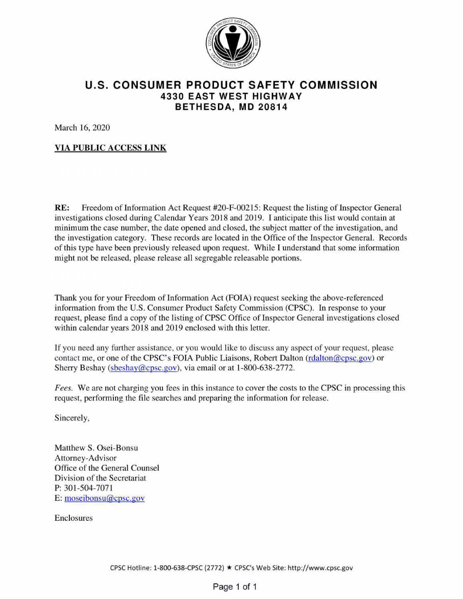

## **U.S. CONSUMER PRODUCT SAFETY COMMISSION 4330 EAST WEST HIGHWAY BET HESDA, MD 208 14**

March 16, 2020

#### **VIA PUBLIC ACCESS LINK**

**RE:** Freedom of Information Act Request #20-F-00215: Request the listing of Inspector General investigations closed during Calendar Years 2018 and 2019. I anticipate this list would contain at minimum the case number, the date opened and closed, the subject matter of the investigation, and the investigation category. These records are located in the Office of the Inspector General. Records of this type have been previously released upon request. While I understand that some information might not be released, please release all segregable releasable portions.

Thank you for your Freedom of Information Act (FOIA) request seeking the above-referenced information from the U.S. Consumer Product Safety Commission (CPSC). In response to your request, please find a copy of the listing of CPSC Office of Inspector General investigations closed within calendar years 2018 and 2019 enclosed with this letter.

If you need any further assistance, or you would like to discuss any aspect of your request, please contact me, or one of the CPSC's FOIA Public Liaisons, Robert Dalton (rdalton@cpsc.gov) or Sherry Beshay (sbeshay@cpsc.gov), via email or at 1-800-638-2772.

*Fees.* We are not charging you fees in this instance to cover the costs to the CPSC in processing this request, performing the file searches and preparing the information for release.

Sincerely,

Matthew S. Osei-Bonsu Attorney-Advisor Office of the General Counsel Division of the Secretariat **P:** 301-504-7071 E: moseibonsu@cpsc.gov

Enclosures

CPSC Hotline: 1-800-638-CPSC (2772) \* CPSC's Web Site: http://www.cpsc.gov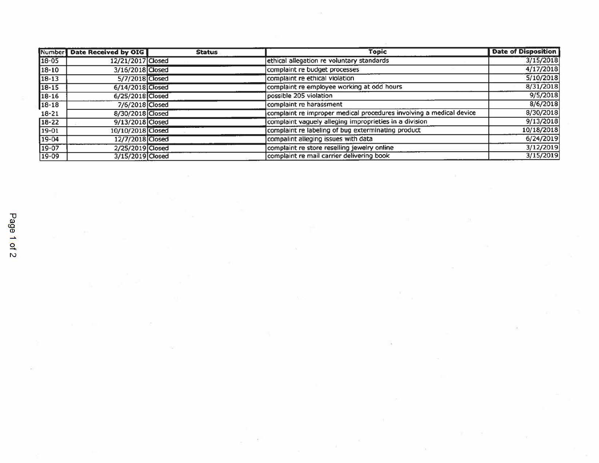|           | Number Date Received by OIG | <b>Status</b> | <b>Topic</b>                                                        | <b>Date of Disposition</b> |
|-----------|-----------------------------|---------------|---------------------------------------------------------------------|----------------------------|
| 18-05     | 12/21/2017 Closed           |               | ethical allegation re voluntary standards                           | 3/15/2018                  |
| $18 - 10$ | 3/16/2018 Closed            |               | complaint re budget processes                                       | 4/17/2018                  |
| $18 - 13$ | 5/7/2018 Closed             |               | complaint re ethical violation                                      | 5/10/2018                  |
| $18 - 15$ | 6/14/2018 Closed            |               | complaint re employee working at odd hours                          | 8/31/2018                  |
| 18-16     | 6/25/2018 Closed            |               | possible 205 violation                                              | 9/5/2018                   |
| 18-18     | 7/6/2018 Closed             |               | complaint re harassment                                             | 8/6/2018                   |
| $18 - 21$ | 8/30/2018 Closed            |               | complaint re improper medical procedures involving a medical device | 8/30/2018                  |
| $18 - 22$ | 9/13/2018 Closed            |               | complaint vaguely alleging improprieties in a division              | 9/13/2018                  |
| $19-01$   | 10/10/2018 Closed           |               | complaint re labeling of bug exterminating product                  | 10/18/2018                 |
| $19 - 04$ | 12/7/2018 Closed            |               | compalint alleging issues with data                                 | 6/24/2019                  |
| 19-07     | 2/25/2019 Closed            |               | complaint re store reselling jewelry online                         | 3/12/2019                  |
| 19-09     | 3/15/2019 Closed            |               | complaint re mail carrier delivering book                           | 3/15/2019                  |

 $\sim$ 

 $\sim 10$ 

a.

 $\lambda$ 

 $\mathcal{G}_{\mathcal{C}}$